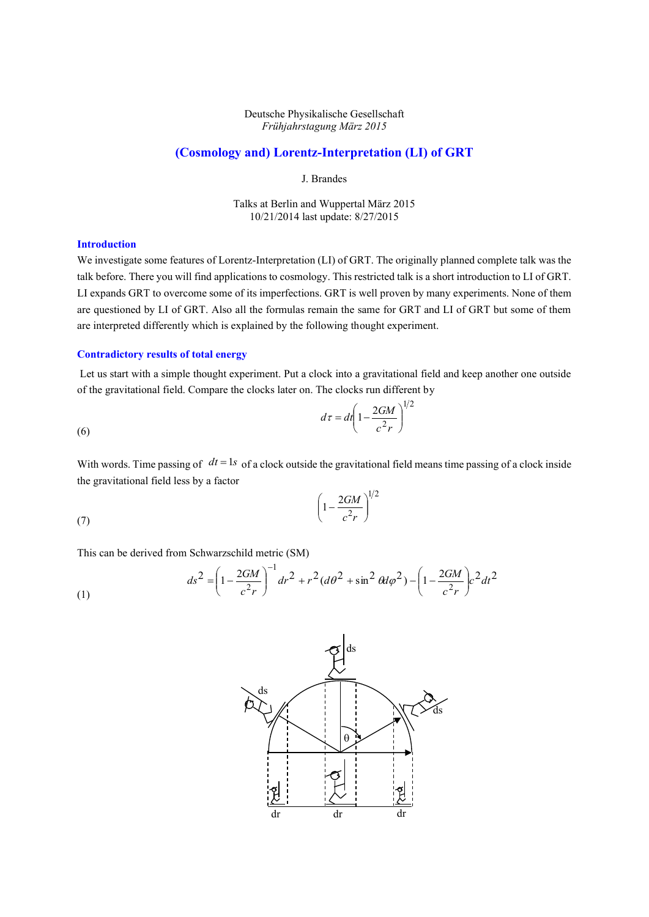## Deutsche Physikalische Gesellschaft *Frühjahrstagung März 2015*

# **(Cosmology and) Lorentz-Interpretation (LI) of GRT**

J. Brandes

Talks at Berlin and Wuppertal März 2015 10/21/2014 last update: 8/27/2015

# **Introduction**

(7)

We investigate some features of Lorentz-Interpretation (LI) of GRT. The originally planned complete talk was the talk before. There you will find applications to cosmology. This restricted talk is a short introduction to LI of GRT. LI expands GRT to overcome some of its imperfections. GRT is well proven by many experiments. None of them are questioned by LI of GRT. Also all the formulas remain the same for GRT and LI of GRT but some of them are interpreted differently which is explained by the following thought experiment.

### **Contradictory results of total energy**

Let us start with a simple thought experiment. Put a clock into a gravitational field and keep another one outside of the gravitational field. Compare the clocks later on. The clocks run different by

$$
d\tau = dt \left(1 - \frac{2GM}{c^2r}\right)^{1/2}
$$

With words. Time passing of  $dt = 1s$  of a clock outside the gravitational field means time passing of a clock inside the gravitational field less by a factor

$$
\left(1-\frac{2GM}{c^2r}\right)^{1/2}
$$

This can be derived from Schwarzschild metric (SM)

(1) 
$$
ds^{2} = \left(1 - \frac{2GM}{c^{2}r}\right)^{-1} dr^{2} + r^{2} (d\theta^{2} + \sin^{2} \theta d\varphi^{2}) - \left(1 - \frac{2GM}{c^{2}r}\right) c^{2} dt^{2}
$$

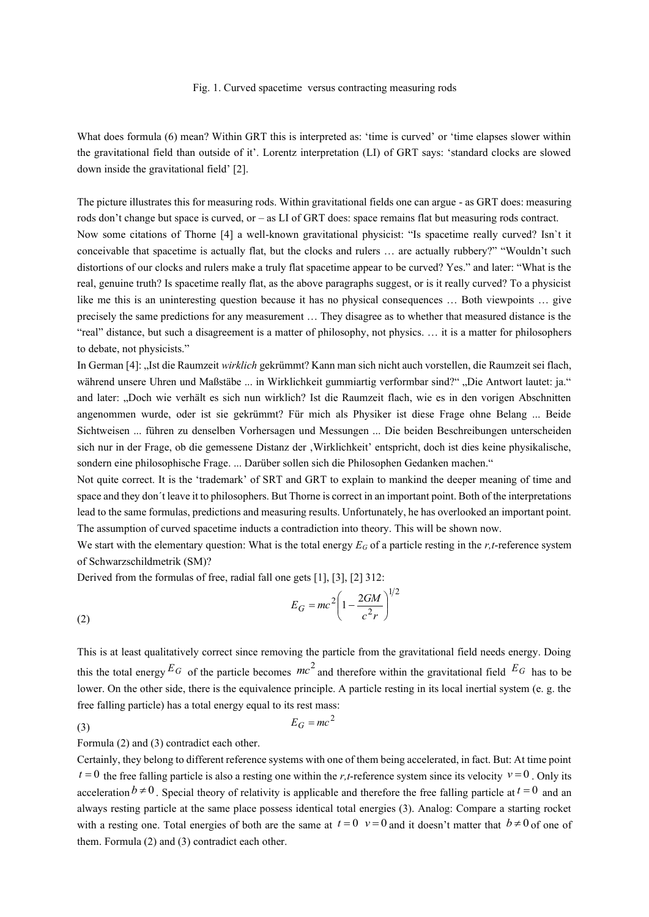#### Fig. 1. Curved spacetime versus contracting measuring rods

What does formula (6) mean? Within GRT this is interpreted as: 'time is curved' or 'time elapses slower within the gravitational field than outside of it'. Lorentz interpretation (LI) of GRT says: 'standard clocks are slowed down inside the gravitational field' [2].

The picture illustrates this for measuring rods. Within gravitational fields one can argue - as GRT does: measuring rods don't change but space is curved, or – as LI of GRT does: space remains flat but measuring rods contract. Now some citations of Thorne [4] a well-known gravitational physicist: "Is spacetime really curved? Isn`t it conceivable that spacetime is actually flat, but the clocks and rulers … are actually rubbery?" "Wouldn't such distortions of our clocks and rulers make a truly flat spacetime appear to be curved? Yes." and later: "What is the real, genuine truth? Is spacetime really flat, as the above paragraphs suggest, or is it really curved? To a physicist like me this is an uninteresting question because it has no physical consequences … Both viewpoints … give precisely the same predictions for any measurement … They disagree as to whether that measured distance is the "real" distance, but such a disagreement is a matter of philosophy, not physics. … it is a matter for philosophers to debate, not physicists."

In German [4]: "Ist die Raumzeit *wirklich* gekrümmt? Kann man sich nicht auch vorstellen, die Raumzeit sei flach, während unsere Uhren und Maßstäbe ... in Wirklichkeit gummiartig verformbar sind?" "Die Antwort lautet: ja." and later: "Doch wie verhält es sich nun wirklich? Ist die Raumzeit flach, wie es in den vorigen Abschnitten angenommen wurde, oder ist sie gekrümmt? Für mich als Physiker ist diese Frage ohne Belang ... Beide Sichtweisen ... führen zu denselben Vorhersagen und Messungen ... Die beiden Beschreibungen unterscheiden sich nur in der Frage, ob die gemessene Distanz der , Wirklichkeit' entspricht, doch ist dies keine physikalische, sondern eine philosophische Frage. ... Darüber sollen sich die Philosophen Gedanken machen."

Not quite correct. It is the 'trademark' of SRT and GRT to explain to mankind the deeper meaning of time and space and they don´t leave it to philosophers. But Thorne is correct in an important point. Both of the interpretations lead to the same formulas, predictions and measuring results. Unfortunately, he has overlooked an important point. The assumption of curved spacetime inducts a contradiction into theory. This will be shown now.

We start with the elementary question: What is the total energy  $E_G$  of a particle resting in the *r*,*t*-reference system of Schwarzschildmetrik (SM)?

Derived from the formulas of free, radial fall one gets [1], [3], [2] 312:

(2) 
$$
E_G = mc^2 \left(1 - \frac{2GM}{c^2r}\right)^{1/2}
$$

This is at least qualitatively correct since removing the particle from the gravitational field needs energy. Doing this the total energy  $E_G$  of the particle becomes  $mc^2$  and therefore within the gravitational field  $E_G$  has to be lower. On the other side, there is the equivalence principle. A particle resting in its local inertial system (e. g. the free falling particle) has a total energy equal to its rest mass:

 $E_G = mc^2$ 

(3)

Formula (2) and (3) contradict each other.

Certainly, they belong to different reference systems with one of them being accelerated, in fact. But: At time point  $t = 0$  the free falling particle is also a resting one within the *r*, *t*-reference system since its velocity  $v = 0$ . Only its acceleration  $b \neq 0$ . Special theory of relativity is applicable and therefore the free falling particle at  $t = 0$  and an always resting particle at the same place possess identical total energies (3). Analog: Compare a starting rocket with a resting one. Total energies of both are the same at  $t = 0$   $v = 0$  and it doesn't matter that  $b \neq 0$  of one of them. Formula (2) and (3) contradict each other.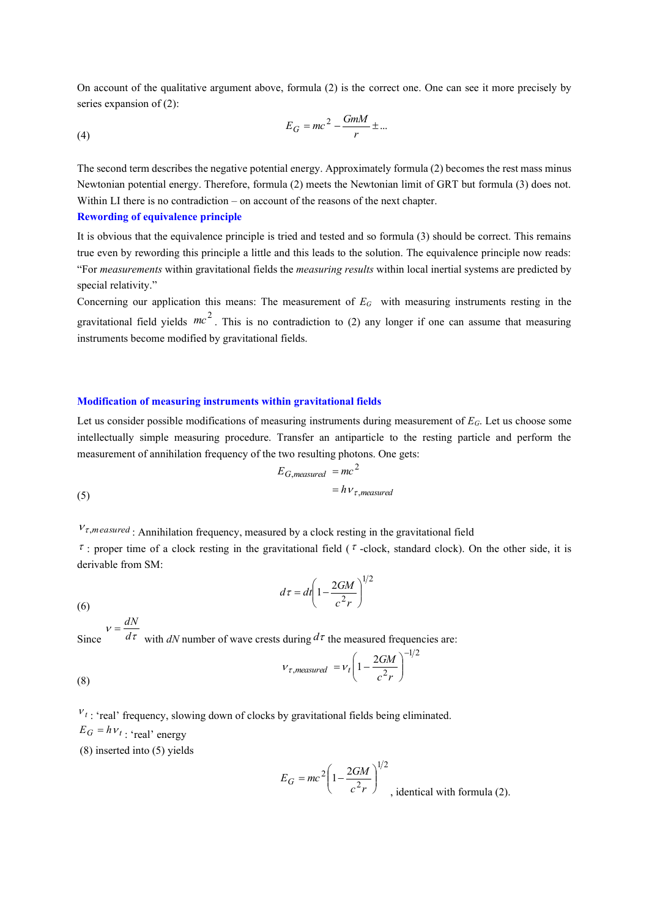On account of the qualitative argument above, formula (2) is the correct one. One can see it more precisely by series expansion of (2):

$$
E_G = mc^2 - \frac{GmM}{r} \pm \dots
$$

The second term describes the negative potential energy. Approximately formula (2) becomes the rest mass minus Newtonian potential energy. Therefore, formula (2) meets the Newtonian limit of GRT but formula (3) does not. Within LI there is no contradiction – on account of the reasons of the next chapter.

#### **Rewording of equivalence principle**

It is obvious that the equivalence principle is tried and tested and so formula (3) should be correct. This remains true even by rewording this principle a little and this leads to the solution. The equivalence principle now reads: "For *measurements* within gravitational fields the *measuring results* within local inertial systems are predicted by special relativity."

Concerning our application this means: The measurement of *EG* with measuring instruments resting in the gravitational field yields  $mc^2$ . This is no contradiction to (2) any longer if one can assume that measuring instruments become modified by gravitational fields.

# **Modification of measuring instruments within gravitational fields**

Let us consider possible modifications of measuring instruments during measurement of *EG*. Let us choose some intellectually simple measuring procedure. Transfer an antiparticle to the resting particle and perform the measurement of annihilation frequency of the two resulting photons. One gets:

$$
E_{G,measured} = mc^2
$$
  
(5) 
$$
= h v_{\tau,measured}
$$

 $V_{\tau,m\text{ easured}}$ : Annihilation frequency, measured by a clock resting in the gravitational field

 $\tau$ : proper time of a clock resting in the gravitational field ( $\tau$ -clock, standard clock). On the other side, it is derivable from SM:

$$
d\tau = dt \left(1 - \frac{2GM}{c^2r}\right)^{1/2}
$$

(6)

Since  $d\tau$  with *dN* number of wave crests during  $d\tau$  the measured frequencies are:  $v = \frac{dN}{2}$ 

(8) 
$$
V_{\tau,measured} = V_t \left(1 - \frac{2GM}{c^2r}\right)^{-1/2}
$$

 $v_t$ : 'real' frequency, slowing down of clocks by gravitational fields being eliminated.  $E_G = h v_t$ : 'real' energy (8) inserted into (5) yields

$$
E_G = mc^2 \left( 1 - \frac{2GM}{c^2 r} \right)^{1/2}
$$
, identical with formula (2).